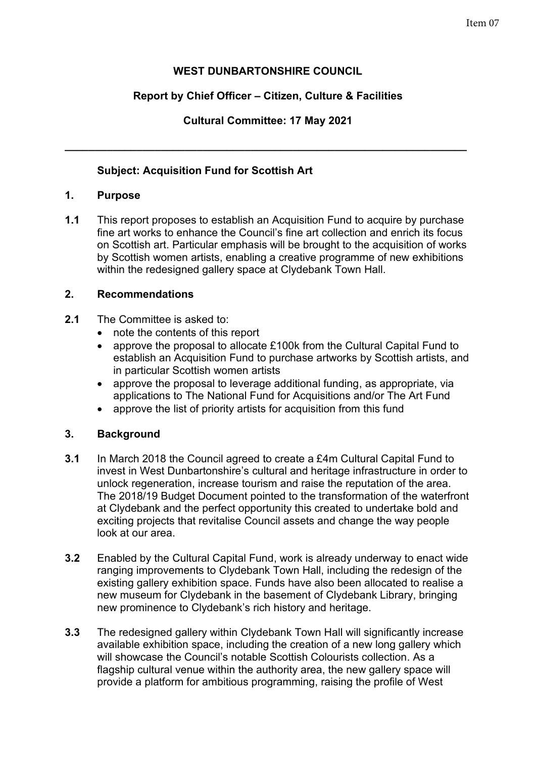# **WEST DUNBARTONSHIRE COUNCIL**

# **Report by Chief Officer – Citizen, Culture & Facilities**

# **Cultural Committee: 17 May 2021**

**\_\_\_\_\_\_\_\_\_\_\_\_\_\_\_\_\_\_\_\_\_\_\_\_\_\_\_\_\_\_\_\_\_\_\_\_\_\_\_\_\_\_\_\_\_\_\_\_\_\_\_\_\_\_\_\_\_\_\_\_\_\_\_\_\_\_\_** 

## **Subject: Acquisition Fund for Scottish Art**

## **1. Purpose**

**1.1** This report proposes to establish an Acquisition Fund to acquire by purchase fine art works to enhance the Council's fine art collection and enrich its focus on Scottish art. Particular emphasis will be brought to the acquisition of works by Scottish women artists, enabling a creative programme of new exhibitions within the redesigned gallery space at Clydebank Town Hall.

## **2. Recommendations**

- **2.1** The Committee is asked to:
	- note the contents of this report
	- approve the proposal to allocate £100k from the Cultural Capital Fund to establish an Acquisition Fund to purchase artworks by Scottish artists, and in particular Scottish women artists
	- approve the proposal to leverage additional funding, as appropriate, via applications to The National Fund for Acquisitions and/or The Art Fund
	- approve the list of priority artists for acquisition from this fund

# **3. Background**

- **3.1** In March 2018 the Council agreed to create a £4m Cultural Capital Fund to invest in West Dunbartonshire's cultural and heritage infrastructure in order to unlock regeneration, increase tourism and raise the reputation of the area. The 2018/19 Budget Document pointed to the transformation of the waterfront at Clydebank and the perfect opportunity this created to undertake bold and exciting projects that revitalise Council assets and change the way people look at our area.
- **3.2** Enabled by the Cultural Capital Fund, work is already underway to enact wide ranging improvements to Clydebank Town Hall, including the redesign of the existing gallery exhibition space. Funds have also been allocated to realise a new museum for Clydebank in the basement of Clydebank Library, bringing new prominence to Clydebank's rich history and heritage.
- **3.3** The redesigned gallery within Clydebank Town Hall will significantly increase available exhibition space, including the creation of a new long gallery which will showcase the Council's notable Scottish Colourists collection. As a flagship cultural venue within the authority area, the new gallery space will provide a platform for ambitious programming, raising the profile of West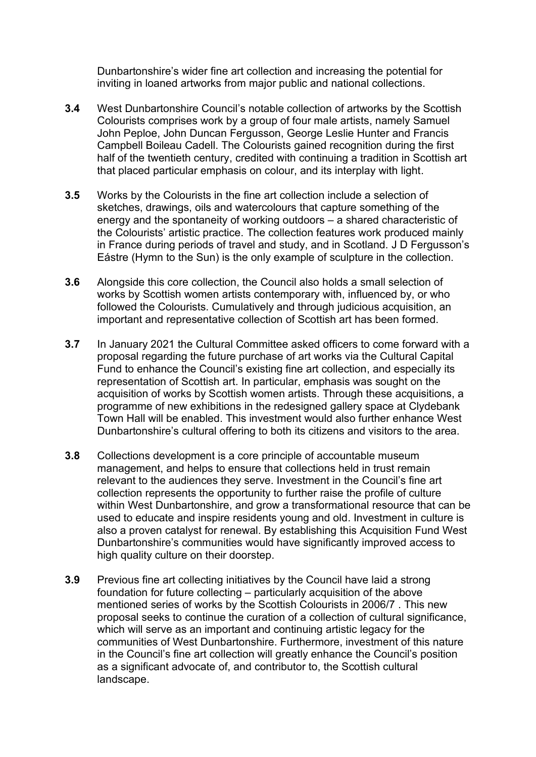Dunbartonshire's wider fine art collection and increasing the potential for inviting in loaned artworks from major public and national collections.

- **3.4** West Dunbartonshire Council's notable collection of artworks by the Scottish Colourists comprises work by a group of four male artists, namely Samuel John Peploe, John Duncan Fergusson, George Leslie Hunter and Francis Campbell Boileau Cadell. The Colourists gained recognition during the first half of the twentieth century, credited with continuing a tradition in Scottish art that placed particular emphasis on colour, and its interplay with light.
- **3.5** Works by the Colourists in the fine art collection include a selection of sketches, drawings, oils and watercolours that capture something of the energy and the spontaneity of working outdoors – a shared characteristic of the Colourists' artistic practice. The collection features work produced mainly in France during periods of travel and study, and in Scotland. J D Fergusson's Eástre (Hymn to the Sun) is the only example of sculpture in the collection.
- **3.6** Alongside this core collection, the Council also holds a small selection of works by Scottish women artists contemporary with, influenced by, or who followed the Colourists. Cumulatively and through judicious acquisition, an important and representative collection of Scottish art has been formed.
- **3.7** In January 2021 the Cultural Committee asked officers to come forward with a proposal regarding the future purchase of art works via the Cultural Capital Fund to enhance the Council's existing fine art collection, and especially its representation of Scottish art. In particular, emphasis was sought on the acquisition of works by Scottish women artists. Through these acquisitions, a programme of new exhibitions in the redesigned gallery space at Clydebank Town Hall will be enabled. This investment would also further enhance West Dunbartonshire's cultural offering to both its citizens and visitors to the area.
- **3.8** Collections development is a core principle of accountable museum management, and helps to ensure that collections held in trust remain relevant to the audiences they serve. Investment in the Council's fine art collection represents the opportunity to further raise the profile of culture within West Dunbartonshire, and grow a transformational resource that can be used to educate and inspire residents young and old. Investment in culture is also a proven catalyst for renewal. By establishing this Acquisition Fund West Dunbartonshire's communities would have significantly improved access to high quality culture on their doorstep.
- **3.9** Previous fine art collecting initiatives by the Council have laid a strong foundation for future collecting – particularly acquisition of the above mentioned series of works by the Scottish Colourists in 2006/7 . This new proposal seeks to continue the curation of a collection of cultural significance, which will serve as an important and continuing artistic legacy for the communities of West Dunbartonshire. Furthermore, investment of this nature in the Council's fine art collection will greatly enhance the Council's position as a significant advocate of, and contributor to, the Scottish cultural landscape.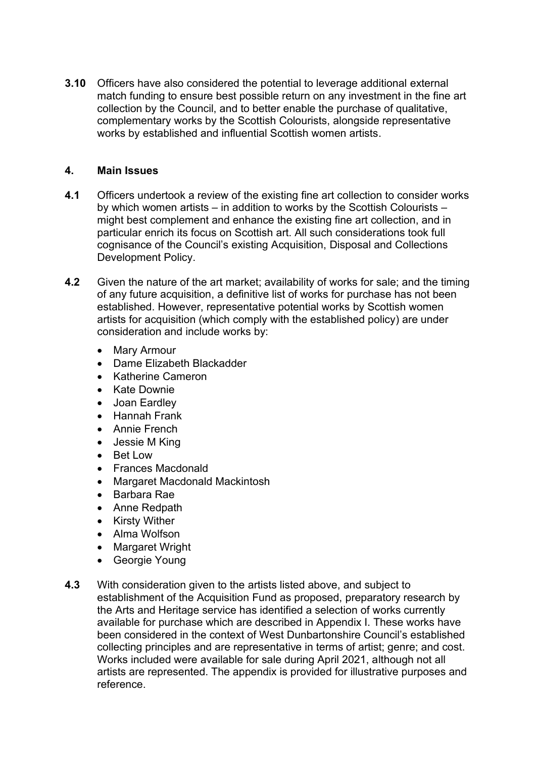**3.10** Officers have also considered the potential to leverage additional external match funding to ensure best possible return on any investment in the fine art collection by the Council, and to better enable the purchase of qualitative, complementary works by the Scottish Colourists, alongside representative works by established and influential Scottish women artists.

### **4. Main Issues**

- **4.1** Officers undertook a review of the existing fine art collection to consider works by which women artists – in addition to works by the Scottish Colourists – might best complement and enhance the existing fine art collection, and in particular enrich its focus on Scottish art. All such considerations took full cognisance of the Council's existing Acquisition, Disposal and Collections Development Policy.
- **4.2** Given the nature of the art market; availability of works for sale; and the timing of any future acquisition, a definitive list of works for purchase has not been established. However, representative potential works by Scottish women artists for acquisition (which comply with the established policy) are under consideration and include works by:
	- Mary Armour
	- Dame Elizabeth Blackadder
	- Katherine Cameron
	- Kate Downie
	- Joan Eardley
	- Hannah Frank
	- Annie French
	- Jessie M King
	- Bet Low
	- Frances Macdonald
	- Margaret Macdonald Mackintosh
	- Barbara Rae
	- Anne Redpath
	- Kirsty Wither
	- Alma Wolfson
	- Margaret Wright
	- Georgie Young
- **4.3** With consideration given to the artists listed above, and subject to establishment of the Acquisition Fund as proposed, preparatory research by the Arts and Heritage service has identified a selection of works currently available for purchase which are described in Appendix I. These works have been considered in the context of West Dunbartonshire Council's established collecting principles and are representative in terms of artist; genre; and cost. Works included were available for sale during April 2021, although not all artists are represented. The appendix is provided for illustrative purposes and reference.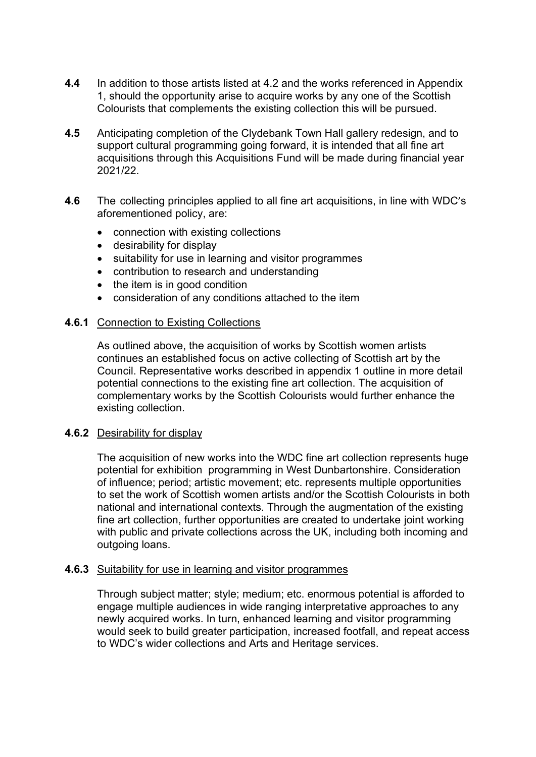- **4.4** In addition to those artists listed at 4.2 and the works referenced in Appendix 1, should the opportunity arise to acquire works by any one of the Scottish Colourists that complements the existing collection this will be pursued.
- **4.5** Anticipating completion of the Clydebank Town Hall gallery redesign, and to support cultural programming going forward, it is intended that all fine art acquisitions through this Acquisitions Fund will be made during financial year 2021/22.
- **4.6** The collecting principles applied to all fine art acquisitions, in line with WDC's aforementioned policy, are:
	- connection with existing collections
	- desirability for display
	- suitability for use in learning and visitor programmes
	- contribution to research and understanding
	- the item is in good condition
	- consideration of any conditions attached to the item

#### **4.6.1** Connection to Existing Collections

As outlined above, the acquisition of works by Scottish women artists continues an established focus on active collecting of Scottish art by the Council. Representative works described in appendix 1 outline in more detail potential connections to the existing fine art collection. The acquisition of complementary works by the Scottish Colourists would further enhance the existing collection.

#### **4.6.2** Desirability for display

The acquisition of new works into the WDC fine art collection represents huge potential for exhibition programming in West Dunbartonshire. Consideration of influence; period; artistic movement; etc. represents multiple opportunities to set the work of Scottish women artists and/or the Scottish Colourists in both national and international contexts. Through the augmentation of the existing fine art collection, further opportunities are created to undertake joint working with public and private collections across the UK, including both incoming and outgoing loans.

#### **4.6.3** Suitability for use in learning and visitor programmes

Through subject matter; style; medium; etc. enormous potential is afforded to engage multiple audiences in wide ranging interpretative approaches to any newly acquired works. In turn, enhanced learning and visitor programming would seek to build greater participation, increased footfall, and repeat access to WDC's wider collections and Arts and Heritage services.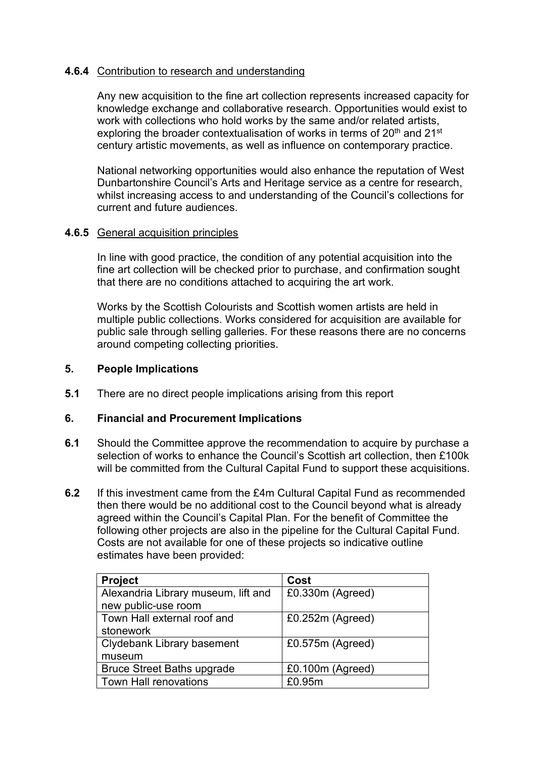## **4.6.4** Contribution to research and understanding

Any new acquisition to the fine art collection represents increased capacity for knowledge exchange and collaborative research. Opportunities would exist to work with collections who hold works by the same and/or related artists, exploring the broader contextualisation of works in terms of 20<sup>th</sup> and 21<sup>st</sup> century artistic movements, as well as influence on contemporary practice.

National networking opportunities would also enhance the reputation of West Dunbartonshire Council's Arts and Heritage service as a centre for research, whilst increasing access to and understanding of the Council's collections for current and future audiences.

## **4.6.5** General acquisition principles

In line with good practice, the condition of any potential acquisition into the fine art collection will be checked prior to purchase, and confirmation sought that there are no conditions attached to acquiring the art work.

Works by the Scottish Colourists and Scottish women artists are held in multiple public collections. Works considered for acquisition are available for public sale through selling galleries. For these reasons there are no concerns around competing collecting priorities.

## **5. People Implications**

**5.1** There are no direct people implications arising from this report

## **6. Financial and Procurement Implications**

- **6.1** Should the Committee approve the recommendation to acquire by purchase a selection of works to enhance the Council's Scottish art collection, then £100k will be committed from the Cultural Capital Fund to support these acquisitions.
- **6.2** If this investment came from the £4m Cultural Capital Fund as recommended then there would be no additional cost to the Council beyond what is already agreed within the Council's Capital Plan. For the benefit of Committee the following other projects are also in the pipeline for the Cultural Capital Fund. Costs are not available for one of these projects so indicative outline estimates have been provided:

| <b>Project</b>                      | Cost               |
|-------------------------------------|--------------------|
| Alexandria Library museum, lift and | £0.330m (Agreed)   |
| new public-use room                 |                    |
| Town Hall external roof and         | $£0.252m$ (Agreed) |
| stonework                           |                    |
| Clydebank Library basement          | £0.575m (Agreed)   |
| museum                              |                    |
| <b>Bruce Street Baths upgrade</b>   | £0.100m (Agreed)   |
| <b>Town Hall renovations</b>        | £0.95m             |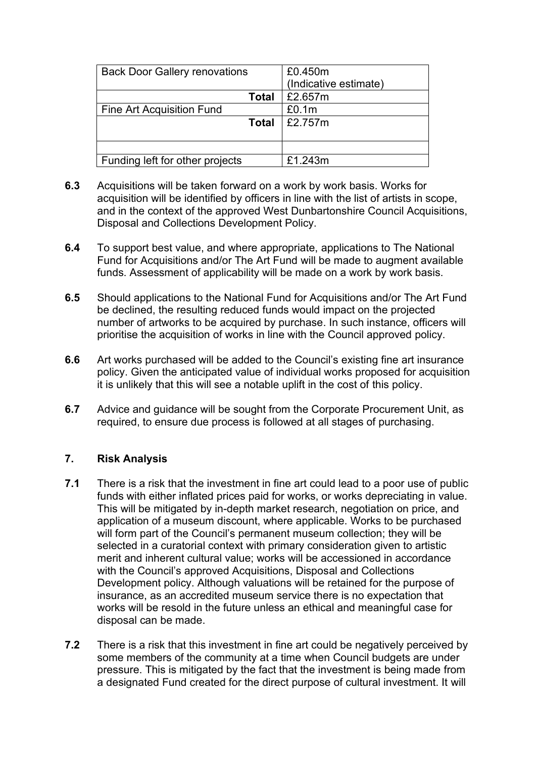| <b>Back Door Gallery renovations</b> | £0.450m               |
|--------------------------------------|-----------------------|
|                                      | (Indicative estimate) |
| Total                                | £2.657m               |
| Fine Art Acquisition Fund            | £0.1m                 |
| Total                                | £2.757m               |
|                                      |                       |
|                                      |                       |
| Funding left for other projects      | £1.243m               |

- **6.3** Acquisitions will be taken forward on a work by work basis. Works for acquisition will be identified by officers in line with the list of artists in scope, and in the context of the approved West Dunbartonshire Council Acquisitions, Disposal and Collections Development Policy.
- **6.4** To support best value, and where appropriate, applications to The National Fund for Acquisitions and/or The Art Fund will be made to augment available funds. Assessment of applicability will be made on a work by work basis.
- **6.5** Should applications to the National Fund for Acquisitions and/or The Art Fund be declined, the resulting reduced funds would impact on the projected number of artworks to be acquired by purchase. In such instance, officers will prioritise the acquisition of works in line with the Council approved policy.
- **6.6** Art works purchased will be added to the Council's existing fine art insurance policy. Given the anticipated value of individual works proposed for acquisition it is unlikely that this will see a notable uplift in the cost of this policy.
- **6.7** Advice and guidance will be sought from the Corporate Procurement Unit, as required, to ensure due process is followed at all stages of purchasing.

## **7. Risk Analysis**

- **7.1** There is a risk that the investment in fine art could lead to a poor use of public funds with either inflated prices paid for works, or works depreciating in value. This will be mitigated by in-depth market research, negotiation on price, and application of a museum discount, where applicable. Works to be purchased will form part of the Council's permanent museum collection; they will be selected in a curatorial context with primary consideration given to artistic merit and inherent cultural value; works will be accessioned in accordance with the Council's approved Acquisitions, Disposal and Collections Development policy. Although valuations will be retained for the purpose of insurance, as an accredited museum service there is no expectation that works will be resold in the future unless an ethical and meaningful case for disposal can be made.
- **7.2** There is a risk that this investment in fine art could be negatively perceived by some members of the community at a time when Council budgets are under pressure. This is mitigated by the fact that the investment is being made from a designated Fund created for the direct purpose of cultural investment. It will